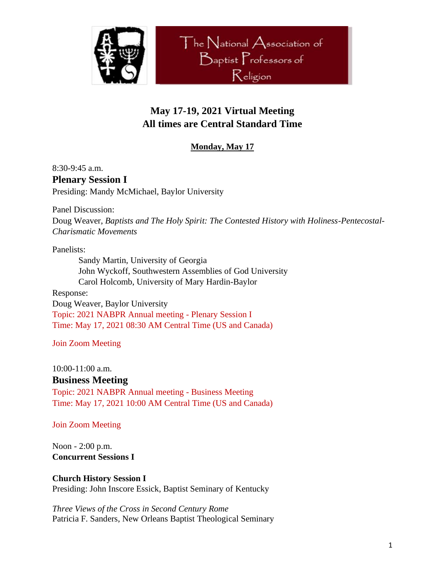

# **May 17-19, 2021 Virtual Meeting All times are Central Standard Time**

## **Monday, May 17**

8:30-9:45 a.m. **Plenary Session I** Presiding: Mandy McMichael, Baylor University

Panel Discussion:

Doug Weaver, *Baptists and The Holy Spirit: The Contested History with Holiness-Pentecostal-Charismatic Movements*

Panelists:

Sandy Martin, University of Georgia John Wyckoff, Southwestern Assemblies of God University Carol Holcomb, University of Mary Hardin-Baylor

Response: Doug Weaver, Baylor University Topic: 2021 NABPR Annual meeting - Plenary Session I Time: May 17, 2021 08:30 AM Central Time (US and Canada)

Join Zoom Meeting

10:00-11:00 a.m.

## **Business Meeting**

Topic: 2021 NABPR Annual meeting - Business Meeting Time: May 17, 2021 10:00 AM Central Time (US and Canada)

Join Zoom Meeting

Noon - 2:00 p.m. **Concurrent Sessions I**

**Church History Session I** Presiding: John Inscore Essick, Baptist Seminary of Kentucky

*Three Views of the Cross in Second Century Rome* Patricia F. Sanders, New Orleans Baptist Theological Seminary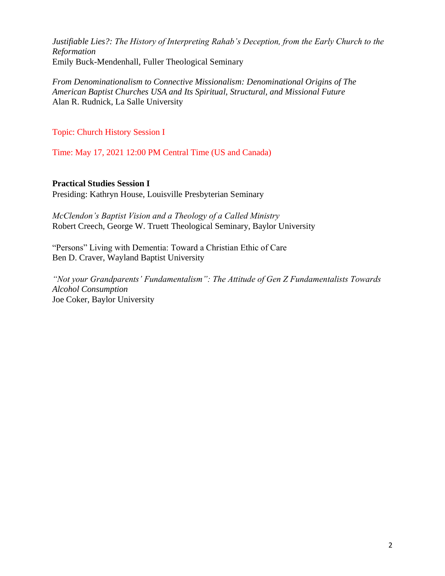*Justifiable Lies?: The History of Interpreting Rahab's Deception, from the Early Church to the Reformation* Emily Buck-Mendenhall, Fuller Theological Seminary

*From Denominationalism to Connective Missionalism: Denominational Origins of The American Baptist Churches USA and Its Spiritual, Structural, and Missional Future* Alan R. Rudnick, La Salle University

Topic: Church History Session I

Time: May 17, 2021 12:00 PM Central Time (US and Canada)

**Practical Studies Session I** Presiding: Kathryn House, Louisville Presbyterian Seminary

*McClendon's Baptist Vision and a Theology of a Called Ministry* Robert Creech, George W. Truett Theological Seminary, Baylor University

"Persons" Living with Dementia: Toward a Christian Ethic of Care Ben D. Craver, Wayland Baptist University

*"Not your Grandparents' Fundamentalism": The Attitude of Gen Z Fundamentalists Towards Alcohol Consumption* Joe Coker, Baylor University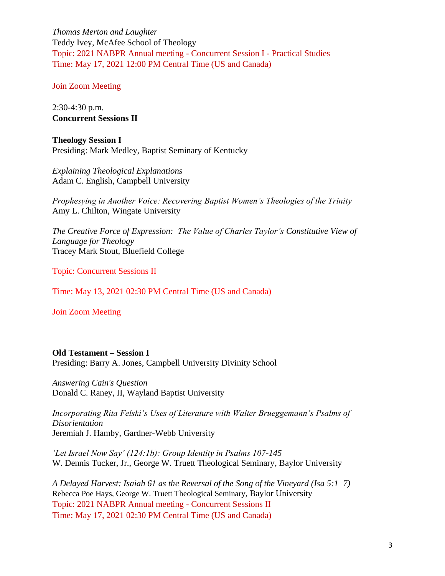*Thomas Merton and Laughter* Teddy Ivey, McAfee School of Theology Topic: 2021 NABPR Annual meeting - Concurrent Session I - Practical Studies Time: May 17, 2021 12:00 PM Central Time (US and Canada)

Join Zoom Meeting

2:30-4:30 p.m. **Concurrent Sessions II**

**Theology Session I** Presiding: Mark Medley, Baptist Seminary of Kentucky

*Explaining Theological Explanations*  Adam C. English, Campbell University

*Prophesying in Another Voice: Recovering Baptist Women's Theologies of the Trinity* Amy L. Chilton, Wingate University

*The Creative Force of Expression: The Value of Charles Taylor's Constitutive View of Language for Theology*  Tracey Mark Stout, Bluefield College

Topic: Concurrent Sessions II

Time: May 13, 2021 02:30 PM Central Time (US and Canada)

Join Zoom Meeting

### **Old Testament – Session I**

Presiding: Barry A. Jones, Campbell University Divinity School

*Answering Cain's Question* Donald C. Raney, II, Wayland Baptist University

*Incorporating Rita Felski's Uses of Literature with Walter Brueggemann's Psalms of Disorientation* Jeremiah J. Hamby, Gardner-Webb University

*'Let Israel Now Say' (124:1b): Group Identity in Psalms 107-145* W. Dennis Tucker, Jr., George W. Truett Theological Seminary, Baylor University

*A Delayed Harvest: Isaiah 61 as the Reversal of the Song of the Vineyard (Isa 5:1–7)* Rebecca Poe Hays, George W. Truett Theological Seminary, Baylor University Topic: 2021 NABPR Annual meeting - Concurrent Sessions II Time: May 17, 2021 02:30 PM Central Time (US and Canada)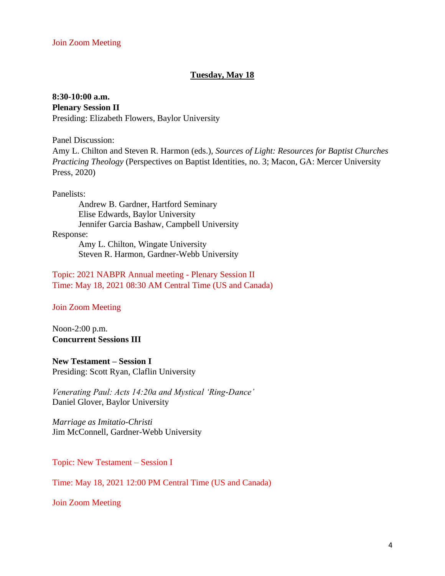### **Tuesday, May 18**

## **8:30-10:00 a.m.**

#### **Plenary Session II**

Presiding: Elizabeth Flowers, Baylor University

Panel Discussion:

Amy L. Chilton and Steven R. Harmon (eds.), *Sources of Light: Resources for Baptist Churches Practicing Theology* (Perspectives on Baptist Identities, no. 3; Macon, GA: Mercer University Press, 2020)

Panelists:

Andrew B. Gardner, Hartford Seminary Elise Edwards, Baylor University Jennifer Garcia Bashaw, Campbell University

Response:

Amy L. Chilton, Wingate University Steven R. Harmon, Gardner-Webb University

Topic: 2021 NABPR Annual meeting - Plenary Session II Time: May 18, 2021 08:30 AM Central Time (US and Canada)

Join Zoom Meeting

Noon-2:00 p.m. **Concurrent Sessions III**

**New Testament – Session I** Presiding: Scott Ryan, Claflin University

*Venerating Paul: Acts 14:20a and Mystical 'Ring-Dance'* Daniel Glover, Baylor University

*Marriage as Imitatio-Christi* Jim McConnell, Gardner-Webb University

Topic: New Testament – Session I

Time: May 18, 2021 12:00 PM Central Time (US and Canada)

Join Zoom Meeting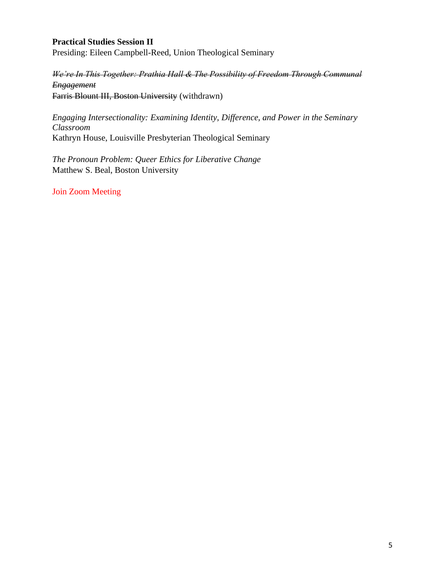## **Practical Studies Session II**

Presiding: Eileen Campbell-Reed, Union Theological Seminary

*We're In This Together: Prathia Hall & The Possibility of Freedom Through Communal Engagement* Farris Blount III, Boston University (withdrawn)

*Engaging Intersectionality: Examining Identity, Difference, and Power in the Seminary Classroom* Kathryn House, Louisville Presbyterian Theological Seminary

*The Pronoun Problem: Queer Ethics for Liberative Change* Matthew S. Beal, Boston University

Join Zoom Meeting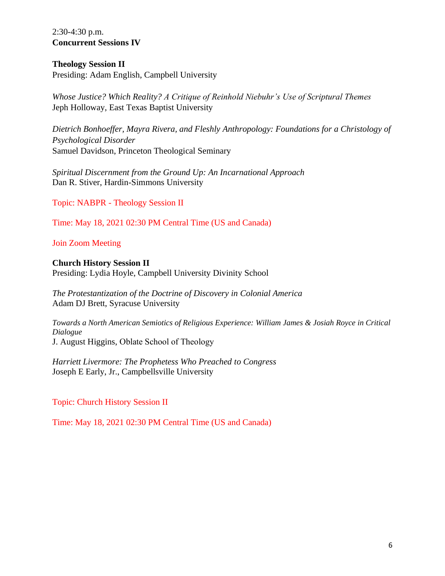2:30-4:30 p.m. **Concurrent Sessions IV**

#### **Theology Session II**

Presiding: Adam English, Campbell University

*Whose Justice? Which Reality? A Critique of Reinhold Niebuhr's Use of Scriptural Themes* Jeph Holloway, East Texas Baptist University

*Dietrich Bonhoeffer, Mayra Rivera, and Fleshly Anthropology: Foundations for a Christology of Psychological Disorder* Samuel Davidson, Princeton Theological Seminary

*Spiritual Discernment from the Ground Up: An Incarnational Approach* Dan R. Stiver, Hardin-Simmons University

Topic: NABPR - Theology Session II

Time: May 18, 2021 02:30 PM Central Time (US and Canada)

Join Zoom Meeting

**Church History Session II** Presiding: Lydia Hoyle, Campbell University Divinity School

*The Protestantization of the Doctrine of Discovery in Colonial America* Adam DJ Brett, Syracuse University

*Towards a North American Semiotics of Religious Experience: William James & Josiah Royce in Critical Dialogue* J. August Higgins, Oblate School of Theology

*Harriett Livermore: The Prophetess Who Preached to Congress* Joseph E Early, Jr., Campbellsville University

Topic: Church History Session II

Time: May 18, 2021 02:30 PM Central Time (US and Canada)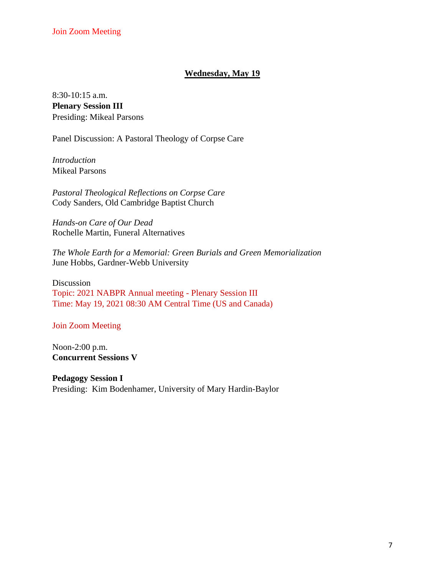## **Wednesday, May 19**

8:30-10:15 a.m. **Plenary Session III** Presiding: Mikeal Parsons

Panel Discussion: A Pastoral Theology of Corpse Care

*Introduction* Mikeal Parsons

*Pastoral Theological Reflections on Corpse Care* Cody Sanders, Old Cambridge Baptist Church

*Hands-on Care of Our Dead* Rochelle Martin, Funeral Alternatives

*The Whole Earth for a Memorial: Green Burials and Green Memorialization* June Hobbs, Gardner-Webb University

Discussion Topic: 2021 NABPR Annual meeting - Plenary Session III Time: May 19, 2021 08:30 AM Central Time (US and Canada)

Join Zoom Meeting

Noon-2:00 p.m. **Concurrent Sessions V**

**Pedagogy Session I** Presiding: Kim Bodenhamer, University of Mary Hardin-Baylor